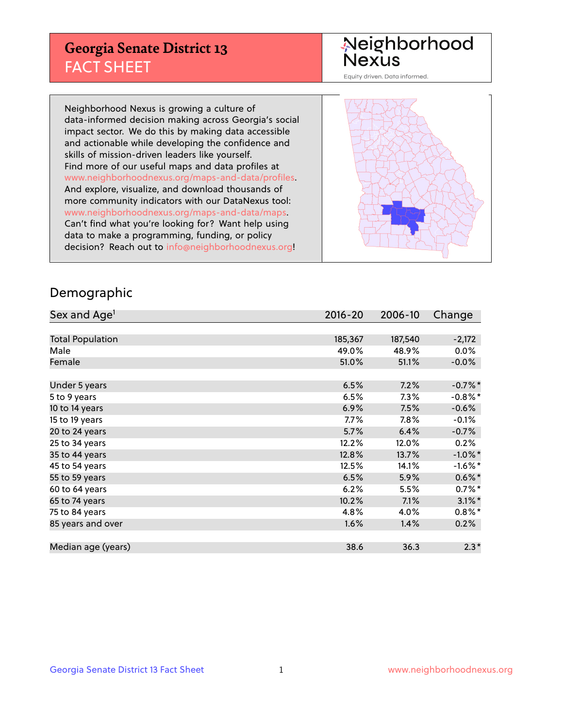#### **Georgia Senate District 13** FACT SHEET

# Neighborhood<br>Nexus

Equity driven. Data informed.

Neighborhood Nexus is growing a culture of data-informed decision making across Georgia's social impact sector. We do this by making data accessible and actionable while developing the confidence and skills of mission-driven leaders like yourself. Find more of our useful maps and data profiles at www.neighborhoodnexus.org/maps-and-data/profiles. And explore, visualize, and download thousands of more community indicators with our DataNexus tool: www.neighborhoodnexus.org/maps-and-data/maps. Can't find what you're looking for? Want help using data to make a programming, funding, or policy decision? Reach out to [info@neighborhoodnexus.org!](mailto:info@neighborhoodnexus.org)



#### Demographic

| Sex and Age <sup>1</sup> | $2016 - 20$ | 2006-10 | Change               |
|--------------------------|-------------|---------|----------------------|
|                          |             |         |                      |
| <b>Total Population</b>  | 185,367     | 187,540 | $-2,172$             |
| Male                     | 49.0%       | 48.9%   | $0.0\%$              |
| Female                   | 51.0%       | 51.1%   | $-0.0\%$             |
|                          |             |         |                      |
| Under 5 years            | 6.5%        | 7.2%    | $-0.7%$ *            |
| 5 to 9 years             | 6.5%        | 7.3%    | $-0.8\%$ *           |
| 10 to 14 years           | 6.9%        | 7.5%    | $-0.6%$              |
| 15 to 19 years           | $7.7\%$     | $7.8\%$ | $-0.1%$              |
| 20 to 24 years           | 5.7%        | 6.4%    | $-0.7%$              |
| 25 to 34 years           | 12.2%       | 12.0%   | 0.2%                 |
| 35 to 44 years           | 12.8%       | 13.7%   | $-1.0\%$ *           |
| 45 to 54 years           | 12.5%       | 14.1%   | $-1.6\%$ *           |
| 55 to 59 years           | 6.5%        | 5.9%    | $0.6\%$ *            |
| 60 to 64 years           | 6.2%        | 5.5%    | $0.7\%$ <sup>*</sup> |
| 65 to 74 years           | 10.2%       | 7.1%    | $3.1\%$ *            |
| 75 to 84 years           | 4.8%        | 4.0%    | $0.8\%$ *            |
| 85 years and over        | 1.6%        | 1.4%    | 0.2%                 |
|                          |             |         |                      |
| Median age (years)       | 38.6        | 36.3    | $2.3*$               |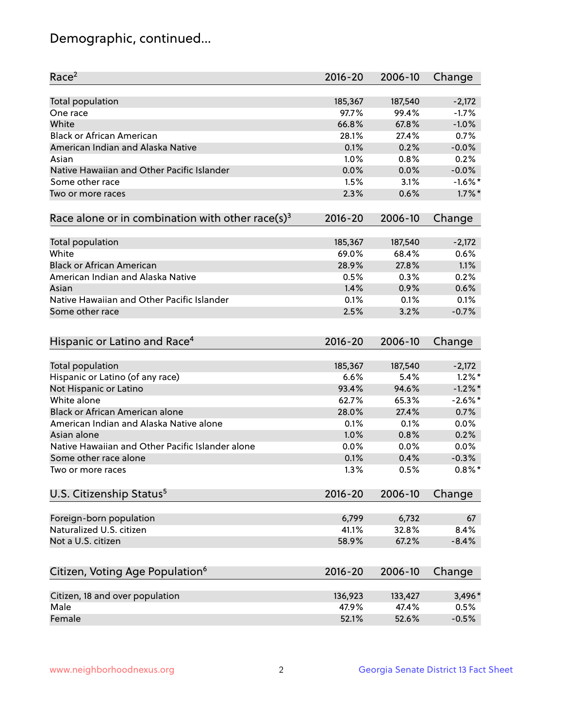# Demographic, continued...

| Race <sup>2</sup>                                            | $2016 - 20$ | 2006-10 | Change     |
|--------------------------------------------------------------|-------------|---------|------------|
| Total population                                             | 185,367     | 187,540 | $-2,172$   |
| One race                                                     | 97.7%       | 99.4%   | $-1.7%$    |
| White                                                        | 66.8%       | 67.8%   | $-1.0%$    |
| <b>Black or African American</b>                             | 28.1%       | 27.4%   | 0.7%       |
| American Indian and Alaska Native                            | 0.1%        | 0.2%    | $-0.0%$    |
| Asian                                                        | 1.0%        | 0.8%    | 0.2%       |
| Native Hawaiian and Other Pacific Islander                   | 0.0%        | 0.0%    | $-0.0%$    |
| Some other race                                              | 1.5%        | 3.1%    | $-1.6\%$ * |
| Two or more races                                            | 2.3%        | 0.6%    | $1.7\%$ *  |
| Race alone or in combination with other race(s) <sup>3</sup> | $2016 - 20$ | 2006-10 | Change     |
|                                                              |             |         |            |
| Total population                                             | 185,367     | 187,540 | $-2,172$   |
| White                                                        | 69.0%       | 68.4%   | 0.6%       |
| <b>Black or African American</b>                             | 28.9%       | 27.8%   | 1.1%       |
| American Indian and Alaska Native                            | 0.5%        | 0.3%    | 0.2%       |
| Asian                                                        | 1.4%        | 0.9%    | 0.6%       |
| Native Hawaiian and Other Pacific Islander                   | 0.1%        | 0.1%    | 0.1%       |
| Some other race                                              | 2.5%        | 3.2%    | $-0.7%$    |
| Hispanic or Latino and Race <sup>4</sup>                     | $2016 - 20$ | 2006-10 | Change     |
| Total population                                             | 185,367     | 187,540 | $-2,172$   |
| Hispanic or Latino (of any race)                             | 6.6%        | 5.4%    | $1.2\%$ *  |
| Not Hispanic or Latino                                       | 93.4%       | 94.6%   | $-1.2%$    |
| White alone                                                  | 62.7%       | 65.3%   | $-2.6\%$ * |
| Black or African American alone                              | 28.0%       | 27.4%   | 0.7%       |
| American Indian and Alaska Native alone                      | 0.1%        | 0.1%    | 0.0%       |
| Asian alone                                                  | 1.0%        | 0.8%    | 0.2%       |
| Native Hawaiian and Other Pacific Islander alone             | 0.0%        | 0.0%    | 0.0%       |
| Some other race alone                                        | 0.1%        | 0.4%    | $-0.3%$    |
| Two or more races                                            | 1.3%        | 0.5%    | $0.8\%$ *  |
|                                                              |             |         |            |
| U.S. Citizenship Status <sup>5</sup>                         | $2016 - 20$ | 2006-10 | Change     |
| Foreign-born population                                      | 6,799       | 6,732   | 67         |
| Naturalized U.S. citizen                                     | 41.1%       | 32.8%   | 8.4%       |
| Not a U.S. citizen                                           | 58.9%       | 67.2%   | $-8.4%$    |
|                                                              |             |         |            |
| Citizen, Voting Age Population <sup>6</sup>                  | 2016-20     | 2006-10 | Change     |
| Citizen, 18 and over population                              | 136,923     | 133,427 | 3,496*     |
| Male                                                         | 47.9%       | 47.4%   | 0.5%       |
| Female                                                       | 52.1%       | 52.6%   | $-0.5%$    |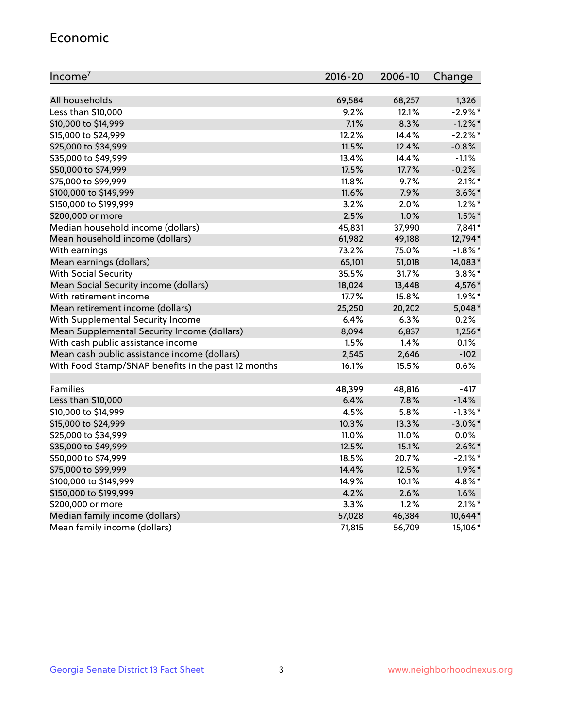#### Economic

| Income <sup>7</sup>                                 | 2016-20 | 2006-10 | Change     |
|-----------------------------------------------------|---------|---------|------------|
|                                                     |         |         |            |
| All households                                      | 69,584  | 68,257  | 1,326      |
| Less than \$10,000                                  | 9.2%    | 12.1%   | $-2.9%$ *  |
| \$10,000 to \$14,999                                | 7.1%    | 8.3%    | $-1.2\%$ * |
| \$15,000 to \$24,999                                | 12.2%   | 14.4%   | $-2.2\%$ * |
| \$25,000 to \$34,999                                | 11.5%   | 12.4%   | $-0.8%$    |
| \$35,000 to \$49,999                                | 13.4%   | 14.4%   | $-1.1%$    |
| \$50,000 to \$74,999                                | 17.5%   | 17.7%   | $-0.2%$    |
| \$75,000 to \$99,999                                | 11.8%   | 9.7%    | $2.1\%$ *  |
| \$100,000 to \$149,999                              | 11.6%   | 7.9%    | $3.6\%$ *  |
| \$150,000 to \$199,999                              | 3.2%    | 2.0%    | $1.2\%$ *  |
| \$200,000 or more                                   | 2.5%    | 1.0%    | $1.5\%$ *  |
| Median household income (dollars)                   | 45,831  | 37,990  | 7,841*     |
| Mean household income (dollars)                     | 61,982  | 49,188  | 12,794*    |
| With earnings                                       | 73.2%   | 75.0%   | $-1.8\%$ * |
| Mean earnings (dollars)                             | 65,101  | 51,018  | 14,083*    |
| <b>With Social Security</b>                         | 35.5%   | 31.7%   | $3.8\%$ *  |
| Mean Social Security income (dollars)               | 18,024  | 13,448  | 4,576*     |
| With retirement income                              | 17.7%   | 15.8%   | $1.9\%$ *  |
| Mean retirement income (dollars)                    | 25,250  | 20,202  | $5,048*$   |
| With Supplemental Security Income                   | 6.4%    | 6.3%    | 0.2%       |
| Mean Supplemental Security Income (dollars)         | 8,094   | 6,837   | $1,256*$   |
| With cash public assistance income                  | 1.5%    | 1.4%    | 0.1%       |
| Mean cash public assistance income (dollars)        | 2,545   | 2,646   | $-102$     |
| With Food Stamp/SNAP benefits in the past 12 months | 16.1%   | 15.5%   | 0.6%       |
|                                                     |         |         |            |
| <b>Families</b>                                     | 48,399  | 48,816  | $-417$     |
| Less than \$10,000                                  | 6.4%    | 7.8%    | $-1.4%$    |
| \$10,000 to \$14,999                                | 4.5%    | 5.8%    | $-1.3\%$ * |
| \$15,000 to \$24,999                                | 10.3%   | 13.3%   | $-3.0\%$ * |
| \$25,000 to \$34,999                                | 11.0%   | 11.0%   | $0.0\%$    |
| \$35,000 to \$49,999                                | 12.5%   | 15.1%   | $-2.6\%$ * |
| \$50,000 to \$74,999                                | 18.5%   | 20.7%   | $-2.1\%$ * |
| \$75,000 to \$99,999                                | 14.4%   | 12.5%   | $1.9\%$ *  |
| \$100,000 to \$149,999                              | 14.9%   | 10.1%   | 4.8%*      |
| \$150,000 to \$199,999                              | 4.2%    | 2.6%    | 1.6%       |
| \$200,000 or more                                   | 3.3%    | 1.2%    | $2.1\%$ *  |
| Median family income (dollars)                      | 57,028  | 46,384  | 10,644*    |
| Mean family income (dollars)                        | 71,815  | 56,709  | 15,106*    |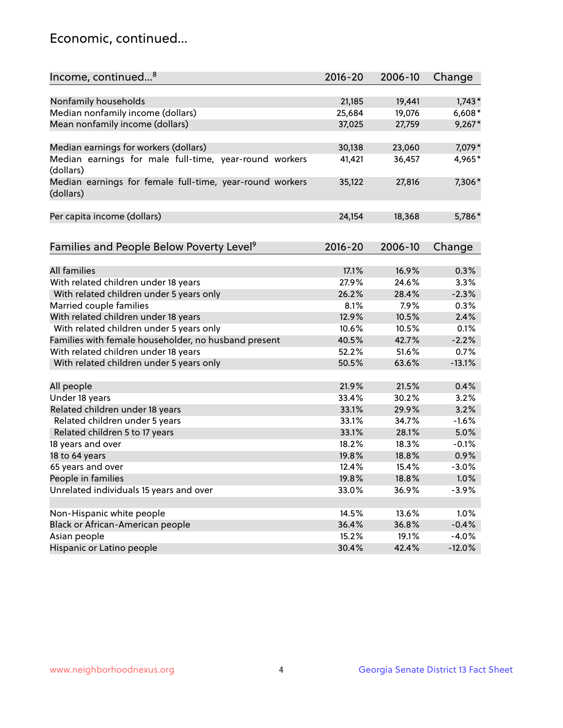#### Economic, continued...

| Income, continued <sup>8</sup>                                        | $2016 - 20$ | 2006-10 | Change   |
|-----------------------------------------------------------------------|-------------|---------|----------|
|                                                                       |             |         |          |
| Nonfamily households                                                  | 21,185      | 19,441  | $1,743*$ |
| Median nonfamily income (dollars)                                     | 25,684      | 19,076  | $6,608*$ |
| Mean nonfamily income (dollars)                                       | 37,025      | 27,759  | $9,267*$ |
| Median earnings for workers (dollars)                                 | 30,138      | 23,060  | 7,079*   |
| Median earnings for male full-time, year-round workers                | 41,421      | 36,457  | 4,965*   |
| (dollars)                                                             |             |         |          |
| Median earnings for female full-time, year-round workers<br>(dollars) | 35,122      | 27,816  | 7,306*   |
| Per capita income (dollars)                                           | 24,154      | 18,368  | 5,786*   |
|                                                                       |             |         |          |
| Families and People Below Poverty Level <sup>9</sup>                  | 2016-20     | 2006-10 | Change   |
|                                                                       |             |         |          |
| <b>All families</b>                                                   | 17.1%       | 16.9%   | 0.3%     |
| With related children under 18 years                                  | 27.9%       | 24.6%   | 3.3%     |
| With related children under 5 years only                              | 26.2%       | 28.4%   | $-2.3%$  |
| Married couple families                                               | 8.1%        | 7.9%    | 0.3%     |
| With related children under 18 years                                  | 12.9%       | 10.5%   | 2.4%     |
| With related children under 5 years only                              | 10.6%       | 10.5%   | 0.1%     |
| Families with female householder, no husband present                  | 40.5%       | 42.7%   | $-2.2%$  |
| With related children under 18 years                                  | 52.2%       | 51.6%   | 0.7%     |
| With related children under 5 years only                              | 50.5%       | 63.6%   | $-13.1%$ |
| All people                                                            | 21.9%       | 21.5%   | 0.4%     |
| Under 18 years                                                        | 33.4%       | 30.2%   | 3.2%     |
| Related children under 18 years                                       | 33.1%       | 29.9%   | 3.2%     |
| Related children under 5 years                                        | 33.1%       | 34.7%   | $-1.6%$  |
| Related children 5 to 17 years                                        | 33.1%       | 28.1%   | 5.0%     |
| 18 years and over                                                     | 18.2%       | 18.3%   | $-0.1%$  |
| 18 to 64 years                                                        | 19.8%       | 18.8%   | 0.9%     |
| 65 years and over                                                     | 12.4%       | 15.4%   | $-3.0%$  |
| People in families                                                    | 19.8%       | 18.8%   | 1.0%     |
| Unrelated individuals 15 years and over                               | 33.0%       | 36.9%   | $-3.9%$  |
|                                                                       |             |         |          |
| Non-Hispanic white people                                             | 14.5%       | 13.6%   | 1.0%     |
| Black or African-American people                                      | 36.4%       | 36.8%   | $-0.4%$  |
| Asian people                                                          | 15.2%       | 19.1%   | $-4.0%$  |
| Hispanic or Latino people                                             | 30.4%       | 42.4%   | $-12.0%$ |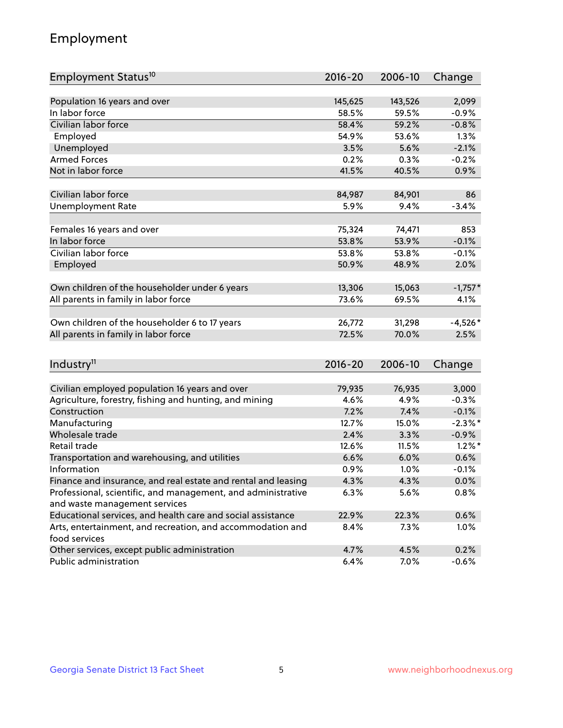# Employment

| Employment Status <sup>10</sup>                                             | $2016 - 20$    | 2006-10 | Change     |
|-----------------------------------------------------------------------------|----------------|---------|------------|
|                                                                             |                |         |            |
| Population 16 years and over                                                | 145,625        | 143,526 | 2,099      |
| In labor force                                                              | 58.5%          | 59.5%   | $-0.9%$    |
| Civilian labor force                                                        | 58.4%          | 59.2%   | $-0.8%$    |
| Employed                                                                    | 54.9%          | 53.6%   | 1.3%       |
| Unemployed                                                                  | 3.5%           | 5.6%    | $-2.1%$    |
| <b>Armed Forces</b>                                                         | 0.2%           | 0.3%    | $-0.2%$    |
| Not in labor force                                                          | 41.5%          | 40.5%   | 0.9%       |
|                                                                             |                |         |            |
| Civilian labor force                                                        | 84,987         | 84,901  | 86         |
| <b>Unemployment Rate</b>                                                    | 5.9%           | 9.4%    | $-3.4%$    |
| Females 16 years and over                                                   | 75,324         | 74,471  | 853        |
| In labor force                                                              | 53.8%          | 53.9%   | $-0.1%$    |
| Civilian labor force                                                        |                |         | $-0.1%$    |
|                                                                             | 53.8%<br>50.9% | 53.8%   |            |
| Employed                                                                    |                | 48.9%   | 2.0%       |
| Own children of the householder under 6 years                               | 13,306         | 15,063  | $-1,757*$  |
| All parents in family in labor force                                        | 73.6%          | 69.5%   | 4.1%       |
|                                                                             |                |         |            |
| Own children of the householder 6 to 17 years                               | 26,772         | 31,298  | $-4,526*$  |
| All parents in family in labor force                                        | 72.5%          | 70.0%   | 2.5%       |
|                                                                             |                |         |            |
| Industry <sup>11</sup>                                                      | $2016 - 20$    | 2006-10 | Change     |
|                                                                             |                |         |            |
| Civilian employed population 16 years and over                              | 79,935         | 76,935  | 3,000      |
| Agriculture, forestry, fishing and hunting, and mining                      | 4.6%           | 4.9%    | $-0.3%$    |
| Construction                                                                | 7.2%           | 7.4%    | $-0.1%$    |
| Manufacturing                                                               | 12.7%          | 15.0%   | $-2.3\%$ * |
| Wholesale trade                                                             | 2.4%           | 3.3%    | $-0.9%$    |
| Retail trade                                                                | 12.6%          | 11.5%   | $1.2\%$ *  |
| Transportation and warehousing, and utilities                               | 6.6%           | 6.0%    | 0.6%       |
| Information                                                                 | 0.9%           | 1.0%    | $-0.1%$    |
| Finance and insurance, and real estate and rental and leasing               | 4.3%           | 4.3%    | $0.0\%$    |
| Professional, scientific, and management, and administrative                | 6.3%           | 5.6%    | 0.8%       |
| and waste management services                                               |                |         |            |
| Educational services, and health care and social assistance                 | 22.9%          | 22.3%   | 0.6%       |
| Arts, entertainment, and recreation, and accommodation and<br>food services | 8.4%           | 7.3%    | 1.0%       |
| Other services, except public administration                                | 4.7%           | 4.5%    | 0.2%       |
| Public administration                                                       | 6.4%           | 7.0%    | $-0.6%$    |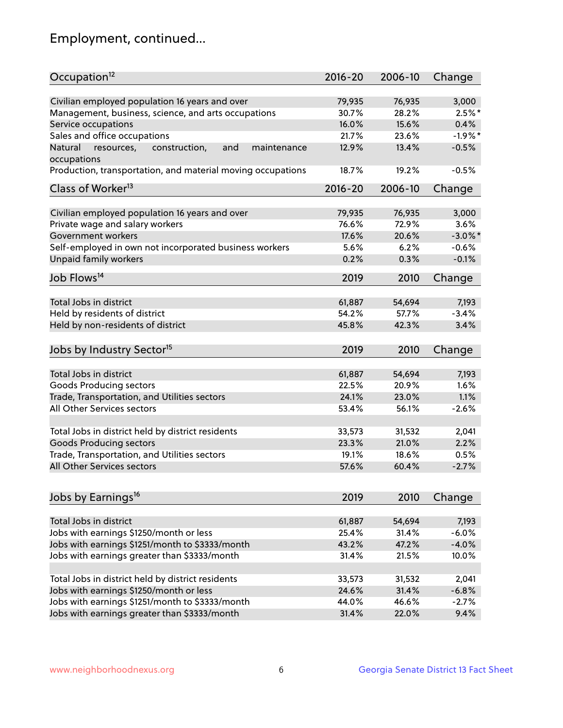# Employment, continued...

| Occupation <sup>12</sup>                                    | $2016 - 20$ | 2006-10 | Change     |
|-------------------------------------------------------------|-------------|---------|------------|
| Civilian employed population 16 years and over              | 79,935      | 76,935  | 3,000      |
| Management, business, science, and arts occupations         | 30.7%       | 28.2%   | $2.5%$ *   |
| Service occupations                                         | 16.0%       | 15.6%   | 0.4%       |
| Sales and office occupations                                | 21.7%       | 23.6%   | $-1.9%$ *  |
| Natural<br>and<br>maintenance                               | 12.9%       | 13.4%   | $-0.5%$    |
| resources,<br>construction,<br>occupations                  |             |         |            |
| Production, transportation, and material moving occupations | 18.7%       | 19.2%   | $-0.5%$    |
| Class of Worker <sup>13</sup>                               | $2016 - 20$ | 2006-10 | Change     |
|                                                             |             |         |            |
| Civilian employed population 16 years and over              | 79,935      | 76,935  | 3,000      |
| Private wage and salary workers                             | 76.6%       | 72.9%   | 3.6%       |
| Government workers                                          | 17.6%       | 20.6%   | $-3.0\%$ * |
| Self-employed in own not incorporated business workers      | 5.6%        | 6.2%    | $-0.6%$    |
| Unpaid family workers                                       | 0.2%        | 0.3%    | $-0.1%$    |
| Job Flows <sup>14</sup>                                     | 2019        | 2010    | Change     |
|                                                             |             |         |            |
| Total Jobs in district                                      | 61,887      | 54,694  | 7,193      |
| Held by residents of district                               | 54.2%       | 57.7%   | $-3.4%$    |
| Held by non-residents of district                           | 45.8%       | 42.3%   | 3.4%       |
| Jobs by Industry Sector <sup>15</sup>                       | 2019        | 2010    | Change     |
|                                                             |             |         |            |
| Total Jobs in district                                      | 61,887      | 54,694  | 7,193      |
| Goods Producing sectors                                     | 22.5%       | 20.9%   | 1.6%       |
| Trade, Transportation, and Utilities sectors                | 24.1%       | 23.0%   | 1.1%       |
| All Other Services sectors                                  | 53.4%       | 56.1%   | $-2.6%$    |
| Total Jobs in district held by district residents           | 33,573      | 31,532  | 2,041      |
| <b>Goods Producing sectors</b>                              | 23.3%       | 21.0%   | 2.2%       |
| Trade, Transportation, and Utilities sectors                | 19.1%       | 18.6%   | 0.5%       |
| All Other Services sectors                                  | 57.6%       | 60.4%   | $-2.7%$    |
|                                                             |             |         |            |
| Jobs by Earnings <sup>16</sup>                              | 2019        | 2010    | Change     |
|                                                             |             |         |            |
| Total Jobs in district                                      | 61,887      | 54,694  | 7,193      |
| Jobs with earnings \$1250/month or less                     | 25.4%       | 31.4%   | $-6.0%$    |
| Jobs with earnings \$1251/month to \$3333/month             | 43.2%       | 47.2%   | $-4.0%$    |
| Jobs with earnings greater than \$3333/month                | 31.4%       | 21.5%   | 10.0%      |
| Total Jobs in district held by district residents           | 33,573      | 31,532  | 2,041      |
| Jobs with earnings \$1250/month or less                     | 24.6%       | 31.4%   | $-6.8%$    |
| Jobs with earnings \$1251/month to \$3333/month             | 44.0%       | 46.6%   | $-2.7%$    |
| Jobs with earnings greater than \$3333/month                | 31.4%       | 22.0%   | 9.4%       |
|                                                             |             |         |            |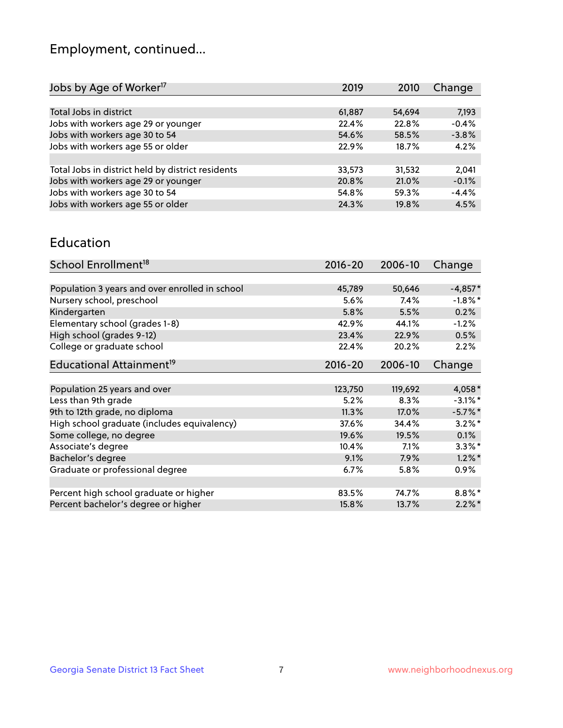# Employment, continued...

| Change  |
|---------|
|         |
| 7,193   |
| $-0.4%$ |
| $-3.8%$ |
| 4.2%    |
|         |
| 2,041   |
| $-0.1%$ |
| $-4.4%$ |
| 4.5%    |
|         |

#### Education

| School Enrollment <sup>18</sup>                | $2016 - 20$ | 2006-10 | Change     |
|------------------------------------------------|-------------|---------|------------|
|                                                |             |         |            |
| Population 3 years and over enrolled in school | 45,789      | 50,646  | $-4,857*$  |
| Nursery school, preschool                      | 5.6%        | $7.4\%$ | $-1.8\%$ * |
| Kindergarten                                   | 5.8%        | 5.5%    | 0.2%       |
| Elementary school (grades 1-8)                 | 42.9%       | 44.1%   | $-1.2%$    |
| High school (grades 9-12)                      | 23.4%       | 22.9%   | 0.5%       |
| College or graduate school                     | 22.4%       | 20.2%   | 2.2%       |
| Educational Attainment <sup>19</sup>           | $2016 - 20$ | 2006-10 | Change     |
|                                                |             |         |            |
| Population 25 years and over                   | 123,750     | 119,692 | $4,058*$   |
| Less than 9th grade                            | 5.2%        | 8.3%    | $-3.1\%$ * |
| 9th to 12th grade, no diploma                  | 11.3%       | 17.0%   | $-5.7%$ *  |
| High school graduate (includes equivalency)    | 37.6%       | 34.4%   | $3.2\%$ *  |
| Some college, no degree                        | 19.6%       | 19.5%   | 0.1%       |
| Associate's degree                             | 10.4%       | 7.1%    | $3.3\%$ *  |
| Bachelor's degree                              | 9.1%        | $7.9\%$ | $1.2\%$ *  |
| Graduate or professional degree                | 6.7%        | $5.8\%$ | $0.9\%$    |
|                                                |             |         |            |
| Percent high school graduate or higher         | 83.5%       | 74.7%   | $8.8\%$ *  |
| Percent bachelor's degree or higher            | 15.8%       | 13.7%   | $2.2\%$ *  |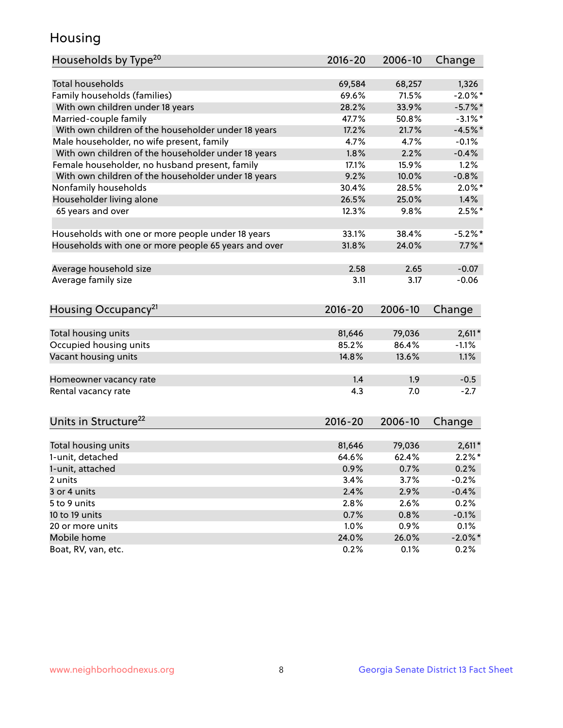#### Housing

| Households by Type <sup>20</sup>                     | 2016-20         | 2006-10       | Change                |
|------------------------------------------------------|-----------------|---------------|-----------------------|
|                                                      |                 |               |                       |
| <b>Total households</b>                              | 69,584          | 68,257        | 1,326                 |
| Family households (families)                         | 69.6%           | 71.5%         | $-2.0\%$ *            |
| With own children under 18 years                     | 28.2%           | 33.9%         | $-5.7%$ *             |
| Married-couple family                                | 47.7%           | 50.8%         | $-3.1\%$ *            |
| With own children of the householder under 18 years  | 17.2%           | 21.7%         | $-4.5%$ *             |
| Male householder, no wife present, family            | 4.7%            | 4.7%          | $-0.1%$               |
| With own children of the householder under 18 years  | 1.8%            | 2.2%          | $-0.4%$               |
| Female householder, no husband present, family       | 17.1%           | 15.9%         | 1.2%                  |
| With own children of the householder under 18 years  | 9.2%            | 10.0%         | $-0.8%$               |
| Nonfamily households                                 | 30.4%           | 28.5%         | $2.0\%$ *             |
| Householder living alone                             | 26.5%           | 25.0%         | 1.4%                  |
| 65 years and over                                    | 12.3%           | 9.8%          | $2.5%$ *              |
|                                                      |                 |               |                       |
| Households with one or more people under 18 years    | 33.1%           | 38.4%         | $-5.2%$               |
| Households with one or more people 65 years and over | 31.8%           | 24.0%         | $7.7\%$ *             |
|                                                      |                 |               |                       |
| Average household size                               | 2.58            | 2.65          | $-0.07$               |
| Average family size                                  | 3.11            | 3.17          | $-0.06$               |
|                                                      |                 |               |                       |
| Housing Occupancy <sup>21</sup>                      | 2016-20         | 2006-10       | Change                |
|                                                      |                 |               |                       |
| Total housing units                                  | 81,646          | 79,036        | $2,611*$              |
| Occupied housing units                               | 85.2%           | 86.4%         | $-1.1%$               |
| Vacant housing units                                 | 14.8%           | 13.6%         | 1.1%                  |
|                                                      |                 |               |                       |
| Homeowner vacancy rate                               | 1.4             | 1.9           | $-0.5$                |
| Rental vacancy rate                                  | 4.3             | 7.0           | $-2.7$                |
|                                                      |                 |               |                       |
|                                                      |                 |               |                       |
| Units in Structure <sup>22</sup>                     | 2016-20         | 2006-10       | Change                |
| Total housing units                                  |                 | 79,036        |                       |
| 1-unit, detached                                     | 81,646<br>64.6% | 62.4%         | $2,611*$<br>$2.2\%$ * |
|                                                      |                 |               |                       |
| 1-unit, attached                                     | 0.9%            | 0.7%          | 0.2%                  |
| 2 units                                              | 3.4%            | 3.7%          | $-0.2%$               |
| 3 or 4 units                                         | 2.4%            | 2.9%          | $-0.4%$               |
| 5 to 9 units                                         | 2.8%            | 2.6%          | 0.2%                  |
| 10 to 19 units                                       | 0.7%            | 0.8%          | $-0.1%$               |
| 20 or more units                                     |                 | 0.9%          | 0.1%                  |
|                                                      | 1.0%            |               |                       |
| Mobile home<br>Boat, RV, van, etc.                   | 24.0%<br>0.2%   | 26.0%<br>0.1% | $-2.0\%$ *<br>0.2%    |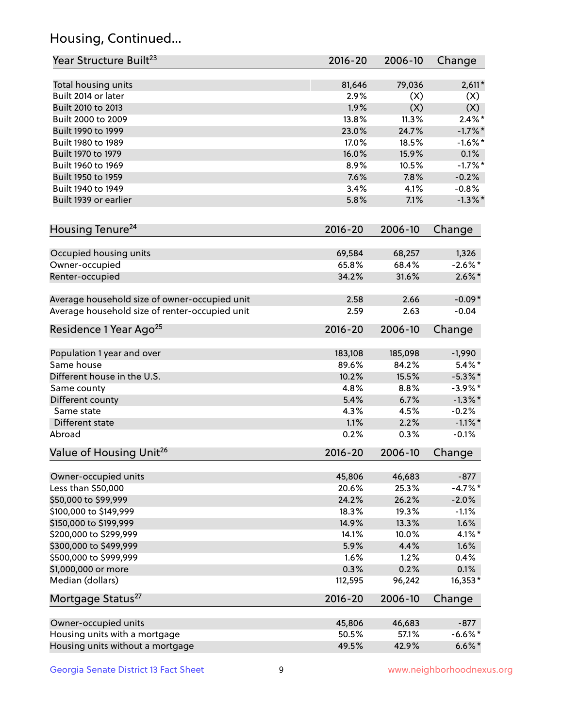# Housing, Continued...

| Year Structure Built <sup>23</sup>             | 2016-20     | 2006-10 | Change     |
|------------------------------------------------|-------------|---------|------------|
| Total housing units                            | 81,646      | 79,036  | $2,611*$   |
| Built 2014 or later                            | 2.9%        | (X)     | (X)        |
| Built 2010 to 2013                             | 1.9%        | (X)     | (X)        |
| Built 2000 to 2009                             | 13.8%       | 11.3%   | $2.4\%$ *  |
| Built 1990 to 1999                             | 23.0%       | 24.7%   | $-1.7\%$ * |
| Built 1980 to 1989                             | 17.0%       | 18.5%   | $-1.6\%$ * |
| Built 1970 to 1979                             | 16.0%       | 15.9%   | 0.1%       |
| Built 1960 to 1969                             | 8.9%        | 10.5%   | $-1.7%$ *  |
| Built 1950 to 1959                             | 7.6%        | 7.8%    | $-0.2%$    |
| Built 1940 to 1949                             | 3.4%        | 4.1%    | $-0.8%$    |
| Built 1939 or earlier                          | 5.8%        | 7.1%    | $-1.3\%$ * |
| Housing Tenure <sup>24</sup>                   | 2016-20     | 2006-10 | Change     |
|                                                |             |         |            |
| Occupied housing units                         | 69,584      | 68,257  | 1,326      |
| Owner-occupied                                 | 65.8%       | 68.4%   | $-2.6\%$ * |
| Renter-occupied                                | 34.2%       | 31.6%   | $2.6\%$ *  |
| Average household size of owner-occupied unit  | 2.58        | 2.66    | $-0.09*$   |
| Average household size of renter-occupied unit | 2.59        | 2.63    | $-0.04$    |
| Residence 1 Year Ago <sup>25</sup>             | 2016-20     | 2006-10 | Change     |
| Population 1 year and over                     | 183,108     | 185,098 | $-1,990$   |
| Same house                                     | 89.6%       | 84.2%   | $5.4\%$ *  |
| Different house in the U.S.                    | 10.2%       | 15.5%   | $-5.3\%$ * |
| Same county                                    | 4.8%        | 8.8%    | $-3.9\%$ * |
| Different county                               | 5.4%        | 6.7%    | $-1.3\%$ * |
| Same state                                     | 4.3%        | 4.5%    | $-0.2%$    |
| Different state                                | 1.1%        | 2.2%    | $-1.1\%$ * |
| Abroad                                         | 0.2%        | 0.3%    | $-0.1%$    |
| Value of Housing Unit <sup>26</sup>            | $2016 - 20$ | 2006-10 | Change     |
|                                                |             |         |            |
| Owner-occupied units                           | 45,806      | 46,683  | $-877$     |
| Less than \$50,000                             | 20.6%       | 25.3%   | $-4.7%$ *  |
| \$50,000 to \$99,999                           | 24.2%       | 26.2%   | $-2.0%$    |
| \$100,000 to \$149,999                         | 18.3%       | 19.3%   | $-1.1%$    |
| \$150,000 to \$199,999                         | 14.9%       | 13.3%   | 1.6%       |
| \$200,000 to \$299,999                         | 14.1%       | 10.0%   | $4.1\%$ *  |
| \$300,000 to \$499,999                         | 5.9%        | 4.4%    | 1.6%       |
| \$500,000 to \$999,999                         | 1.6%        | 1.2%    | 0.4%       |
| \$1,000,000 or more                            | 0.3%        | 0.2%    | 0.1%       |
| Median (dollars)                               | 112,595     | 96,242  | 16,353*    |
| Mortgage Status <sup>27</sup>                  | $2016 - 20$ | 2006-10 | Change     |
| Owner-occupied units                           | 45,806      | 46,683  | $-877$     |
| Housing units with a mortgage                  | 50.5%       | 57.1%   | $-6.6\%$ * |
| Housing units without a mortgage               | 49.5%       | 42.9%   | $6.6\%*$   |
|                                                |             |         |            |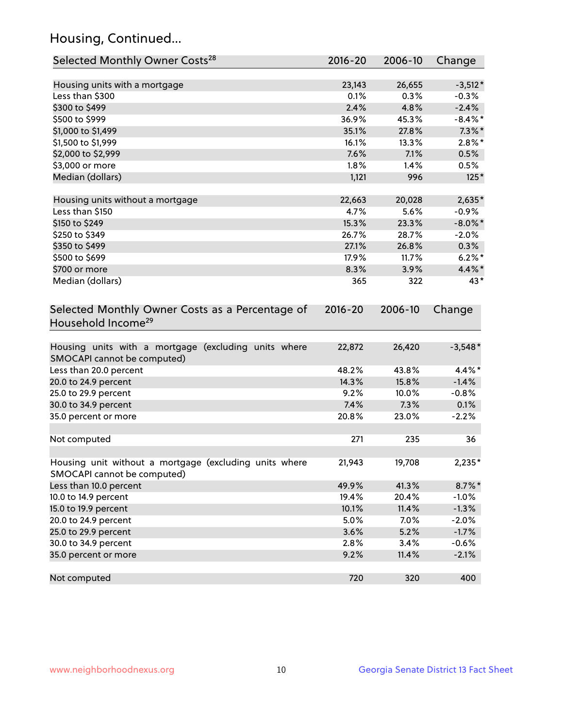# Housing, Continued...

| Selected Monthly Owner Costs <sup>28</sup>                                            | 2016-20 | 2006-10 | Change     |
|---------------------------------------------------------------------------------------|---------|---------|------------|
| Housing units with a mortgage                                                         | 23,143  | 26,655  | $-3,512*$  |
| Less than \$300                                                                       | 0.1%    | 0.3%    | $-0.3%$    |
| \$300 to \$499                                                                        | 2.4%    | 4.8%    | $-2.4%$    |
| \$500 to \$999                                                                        | 36.9%   | 45.3%   | $-8.4\%$ * |
| \$1,000 to \$1,499                                                                    | 35.1%   | 27.8%   | $7.3\%$ *  |
| \$1,500 to \$1,999                                                                    | 16.1%   | 13.3%   | $2.8\%$ *  |
| \$2,000 to \$2,999                                                                    | 7.6%    | 7.1%    | 0.5%       |
| \$3,000 or more                                                                       | $1.8\%$ | 1.4%    | 0.5%       |
| Median (dollars)                                                                      | 1,121   | 996     | $125*$     |
| Housing units without a mortgage                                                      | 22,663  | 20,028  | 2,635*     |
| Less than \$150                                                                       | 4.7%    | 5.6%    | $-0.9%$    |
| \$150 to \$249                                                                        | 15.3%   | 23.3%   | $-8.0\%$ * |
| \$250 to \$349                                                                        | 26.7%   | 28.7%   | $-2.0%$    |
| \$350 to \$499                                                                        | 27.1%   | 26.8%   | 0.3%       |
| \$500 to \$699                                                                        | 17.9%   | 11.7%   | $6.2\%$ *  |
| \$700 or more                                                                         | 8.3%    | 3.9%    | 4.4%*      |
| Median (dollars)                                                                      | 365     | 322     | 43*        |
| Household Income <sup>29</sup>                                                        |         |         |            |
| Housing units with a mortgage (excluding units where<br>SMOCAPI cannot be computed)   | 22,872  | 26,420  | $-3,548*$  |
| Less than 20.0 percent                                                                | 48.2%   | 43.8%   | 4.4%*      |
| 20.0 to 24.9 percent                                                                  | 14.3%   | 15.8%   | $-1.4%$    |
| 25.0 to 29.9 percent                                                                  | 9.2%    | 10.0%   | $-0.8%$    |
| 30.0 to 34.9 percent                                                                  | 7.4%    | 7.3%    | 0.1%       |
| 35.0 percent or more                                                                  | 20.8%   | 23.0%   | $-2.2%$    |
| Not computed                                                                          | 271     | 235     | 36         |
| Housing unit without a mortgage (excluding units where<br>SMOCAPI cannot be computed) | 21,943  | 19,708  | 2,235*     |
| Less than 10.0 percent                                                                | 49.9%   | 41.3%   | $8.7\%$ *  |
| 10.0 to 14.9 percent                                                                  | 19.4%   | 20.4%   | $-1.0%$    |
| 15.0 to 19.9 percent                                                                  | 10.1%   | 11.4%   | $-1.3%$    |
| 20.0 to 24.9 percent                                                                  | 5.0%    | 7.0%    | $-2.0%$    |
| 25.0 to 29.9 percent                                                                  | 3.6%    | 5.2%    | $-1.7%$    |
| 30.0 to 34.9 percent                                                                  | 2.8%    | 3.4%    | $-0.6%$    |
| 35.0 percent or more                                                                  | 9.2%    | 11.4%   | $-2.1%$    |
| Not computed                                                                          | 720     | 320     | 400        |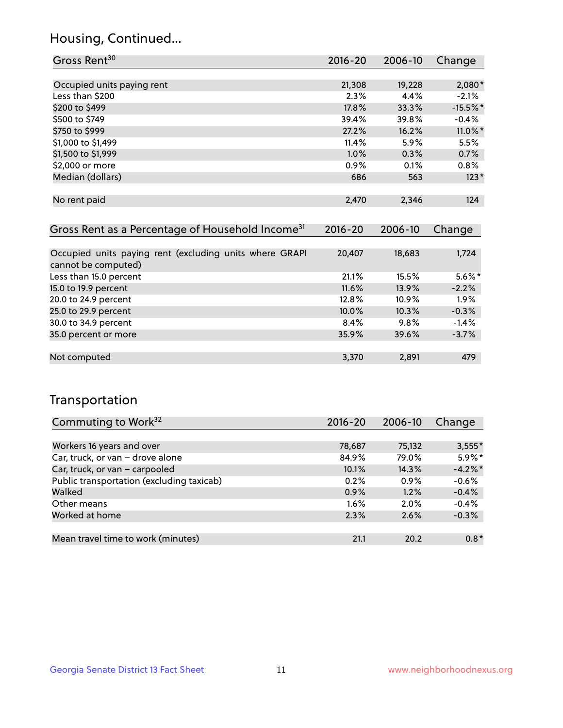#### Housing, Continued...

| Gross Rent <sup>30</sup>                                     | 2016-20     | 2006-10 | Change     |
|--------------------------------------------------------------|-------------|---------|------------|
|                                                              |             |         |            |
| Occupied units paying rent                                   | 21,308      | 19,228  | $2,080*$   |
| Less than \$200                                              | 2.3%        | 4.4%    | $-2.1%$    |
| \$200 to \$499                                               | 17.8%       | 33.3%   | $-15.5%$ * |
| \$500 to \$749                                               | 39.4%       | 39.8%   | $-0.4\%$   |
| \$750 to \$999                                               | 27.2%       | 16.2%   | 11.0%*     |
| \$1,000 to \$1,499                                           | 11.4%       | 5.9%    | 5.5%       |
| \$1,500 to \$1,999                                           | 1.0%        | 0.3%    | 0.7%       |
| \$2,000 or more                                              | 0.9%        | 0.1%    | 0.8%       |
| Median (dollars)                                             | 686         | 563     | $123*$     |
|                                                              |             |         |            |
| No rent paid                                                 | 2,470       | 2,346   | 124        |
|                                                              |             |         |            |
| Gross Rent as a Percentage of Household Income <sup>31</sup> | $2016 - 20$ | 2006-10 | Change     |
|                                                              |             |         |            |
| Occupied units paying rent (excluding units where GRAPI      | 20,407      | 18,683  | 1,724      |
| cannot be computed)                                          |             |         |            |
| Less than 15.0 percent                                       | 21.1%       | 15.5%   | $5.6\%$ *  |
| 15.0 to 19.9 percent                                         | 11.6%       | 13.9%   | $-2.2%$    |
| 20.0 to 24.9 percent                                         | 12.8%       | 10.9%   | 1.9%       |
| 25.0 to 29.9 percent                                         | 10.0%       | 10.3%   | $-0.3%$    |
| 30.0 to 34.9 percent                                         | 8.4%        | 9.8%    | $-1.4%$    |
| 35.0 percent or more                                         | 35.9%       | 39.6%   | $-3.7%$    |

#### Not computed 2,891 2,891 479

#### Transportation

| Commuting to Work <sup>32</sup>           | 2016-20 | 2006-10 | Change     |
|-------------------------------------------|---------|---------|------------|
|                                           |         |         |            |
| Workers 16 years and over                 | 78,687  | 75,132  | $3,555*$   |
| Car, truck, or van - drove alone          | 84.9%   | 79.0%   | $5.9\%$ *  |
| Car, truck, or van - carpooled            | 10.1%   | 14.3%   | $-4.2\%$ * |
| Public transportation (excluding taxicab) | 0.2%    | 0.9%    | $-0.6%$    |
| Walked                                    | 0.9%    | 1.2%    | $-0.4%$    |
| Other means                               | $1.6\%$ | 2.0%    | $-0.4%$    |
| Worked at home                            | 2.3%    | 2.6%    | $-0.3%$    |
|                                           |         |         |            |
| Mean travel time to work (minutes)        | 21.1    | 20.2    | $0.8*$     |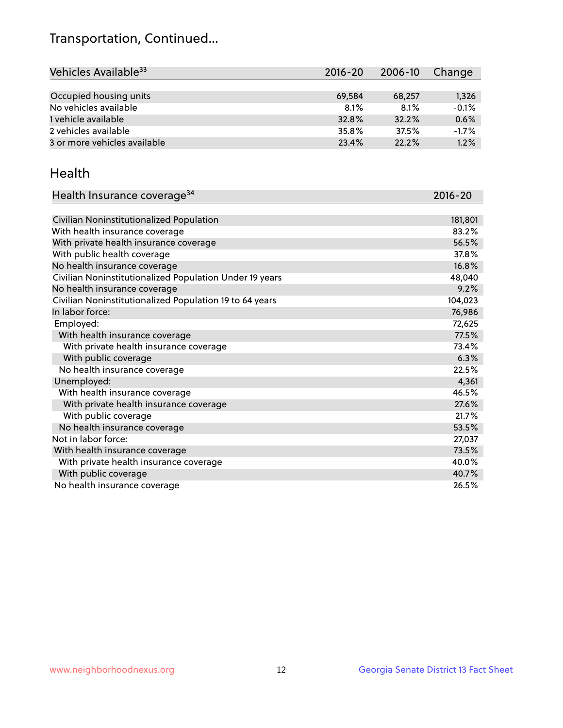# Transportation, Continued...

| Vehicles Available <sup>33</sup> | $2016 - 20$ | $2006 - 10$ | Change  |
|----------------------------------|-------------|-------------|---------|
|                                  |             |             |         |
| Occupied housing units           | 69.584      | 68,257      | 1,326   |
| No vehicles available            | 8.1%        | 8.1%        | $-0.1%$ |
| 1 vehicle available              | 32.8%       | 32.2%       | 0.6%    |
| 2 vehicles available             | 35.8%       | 37.5%       | $-1.7%$ |
| 3 or more vehicles available     | 23.4%       | 22.2%       | 1.2%    |

#### Health

| Health Insurance coverage <sup>34</sup>                 | 2016-20 |
|---------------------------------------------------------|---------|
|                                                         |         |
| Civilian Noninstitutionalized Population                | 181,801 |
| With health insurance coverage                          | 83.2%   |
| With private health insurance coverage                  | 56.5%   |
| With public health coverage                             | 37.8%   |
| No health insurance coverage                            | 16.8%   |
| Civilian Noninstitutionalized Population Under 19 years | 48,040  |
| No health insurance coverage                            | 9.2%    |
| Civilian Noninstitutionalized Population 19 to 64 years | 104,023 |
| In labor force:                                         | 76,986  |
| Employed:                                               | 72,625  |
| With health insurance coverage                          | 77.5%   |
| With private health insurance coverage                  | 73.4%   |
| With public coverage                                    | 6.3%    |
| No health insurance coverage                            | 22.5%   |
| Unemployed:                                             | 4,361   |
| With health insurance coverage                          | 46.5%   |
| With private health insurance coverage                  | 27.6%   |
| With public coverage                                    | 21.7%   |
| No health insurance coverage                            | 53.5%   |
| Not in labor force:                                     | 27,037  |
| With health insurance coverage                          | 73.5%   |
| With private health insurance coverage                  | 40.0%   |
| With public coverage                                    | 40.7%   |
| No health insurance coverage                            | 26.5%   |